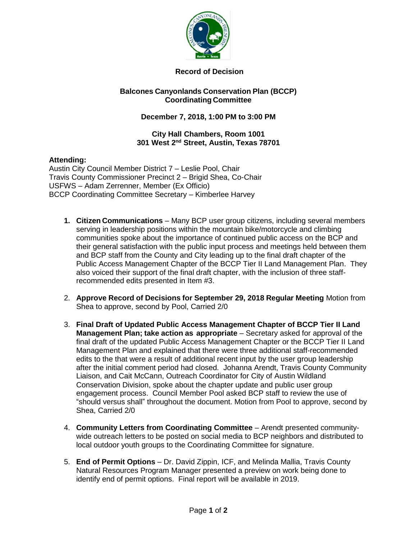

# **Record of Decision**

## **Balcones Canyonlands Conservation Plan (BCCP) Coordinating Committee**

# **December 7, 2018, 1:00 PM to 3:00 PM**

#### **City Hall Chambers, Room 1001 301 West 2nd Street, Austin, Texas 78701**

## **Attending:**

Austin City Council Member District 7 – Leslie Pool, Chair Travis County Commissioner Precinct 2 – Brigid Shea, Co-Chair USFWS – Adam Zerrenner, Member (Ex Officio) BCCP Coordinating Committee Secretary – Kimberlee Harvey

- **1. Citizen Communications** Many BCP user group citizens, including several members serving in leadership positions within the mountain bike/motorcycle and climbing communities spoke about the importance of continued public access on the BCP and their general satisfaction with the public input process and meetings held between them and BCP staff from the County and City leading up to the final draft chapter of the Public Access Management Chapter of the BCCP Tier II Land Management Plan. They also voiced their support of the final draft chapter, with the inclusion of three staffrecommended edits presented in Item #3.
- 2. **Approve Record of Decisions for September 29, 2018 Regular Meeting** Motion from Shea to approve, second by Pool, Carried 2/0
- 3. **Final Draft of Updated Public Access Management Chapter of BCCP Tier II Land Management Plan; take action as appropriate** – Secretary asked for approval of the final draft of the updated Public Access Management Chapter or the BCCP Tier II Land Management Plan and explained that there were three additional staff-recommended edits to the that were a result of additional recent input by the user group leadership after the initial comment period had closed. Johanna Arendt, Travis County Community Liaison, and Cait McCann, Outreach Coordinator for City of Austin Wildland Conservation Division, spoke about the chapter update and public user group engagement process. Council Member Pool asked BCP staff to review the use of "should versus shall" throughout the document. Motion from Pool to approve, second by Shea, Carried 2/0
- 4. **Community Letters from Coordinating Committee** Arendt presented communitywide outreach letters to be posted on social media to BCP neighbors and distributed to local outdoor youth groups to the Coordinating Committee for signature.
- 5. **End of Permit Options** Dr. David Zippin, ICF, and Melinda Mallia, Travis County Natural Resources Program Manager presented a preview on work being done to identify end of permit options. Final report will be available in 2019.